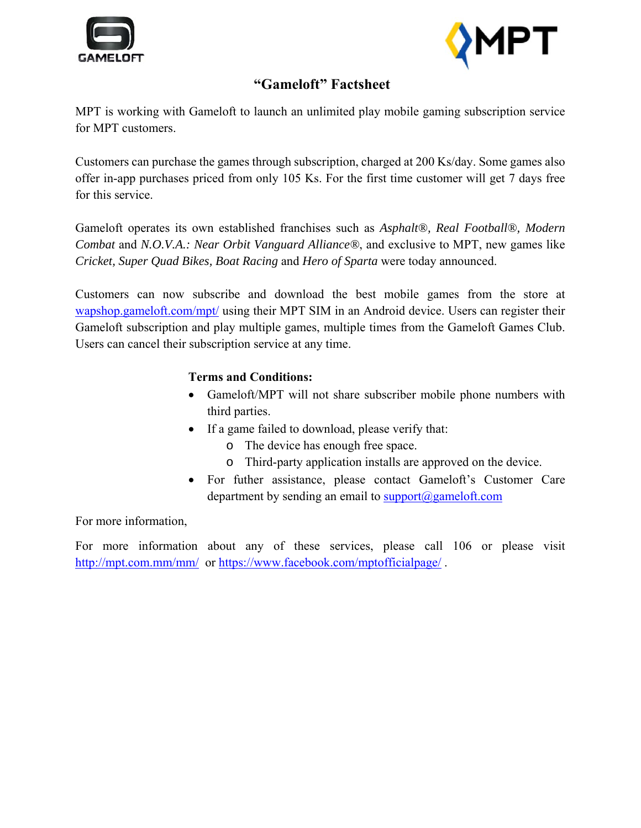



# **"Gameloft" Factsheet**

MPT is working with Gameloft to launch an unlimited play mobile gaming subscription service for MPT customers.

Customers can purchase the games through subscription, charged at 200 Ks/day. Some games also offer in-app purchases priced from only 105 Ks. For the first time customer will get 7 days free for this service.

Gameloft operates its own established franchises such as *Asphalt®, Real Football®, Modern Combat* and *N.O.V.A.: Near Orbit Vanguard Alliance®*, and exclusive to MPT, new games like *Cricket, Super Quad Bikes, Boat Racing* and *Hero of Sparta* were today announced.

Customers can now subscribe and download the best mobile games from the store at wapshop.gameloft.com/mpt/ using their MPT SIM in an Android device. Users can register their Gameloft subscription and play multiple games, multiple times from the Gameloft Games Club. Users can cancel their subscription service at any time.

### **Terms and Conditions:**

- Gameloft/MPT will not share subscriber mobile phone numbers with third parties.
- If a game failed to download, please verify that:
	- o The device has enough free space.
	- o Third-party application installs are approved on the device.
- For futher assistance, please contact Gameloft's Customer Care department by sending an email to  $\frac{\text{support}(a)}{\text{game}}$

For more information,

For more information about any of these services, please call 106 or please visit http://mpt.com.mm/mm/ or https://www.facebook.com/mptofficialpage/ .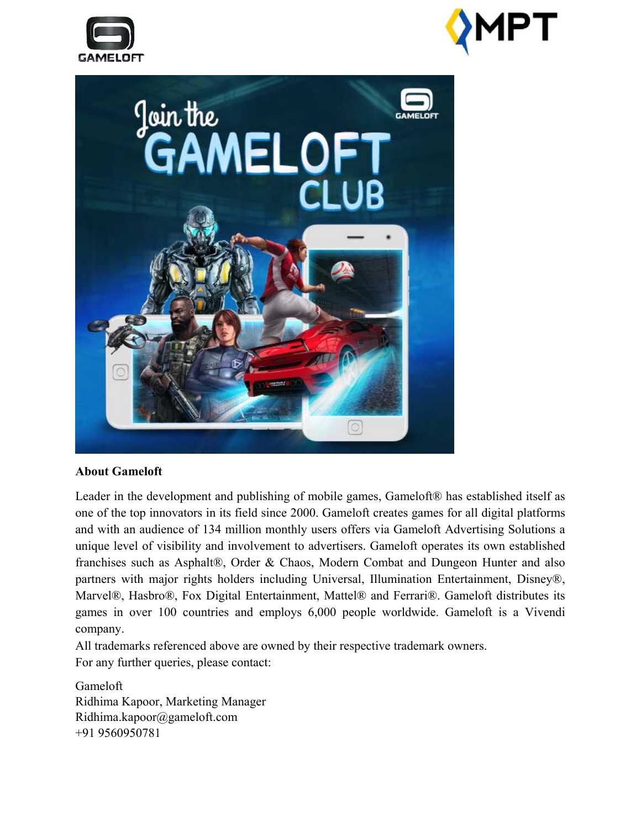





#### **About Gameloft**

Leader in the development and publishing of mobile games, Gameloft® has established itself as one of the top innovators in its field since 2000. Gameloft creates games for all digital platforms and with an audience of 134 million monthly users offers via Gameloft Advertising Solutions a unique level of visibility and involvement to advertisers. Gameloft operates its own established franchises such as Asphalt®, Order & Chaos, Modern Combat and Dungeon Hunter and also partners with major rights holders including Universal, Illumination Entertainment, Disney®, Marvel®, Hasbro®, Fox Digital Entertainment, Mattel® and Ferrari®. Gameloft distributes its games in over 100 countries and employs 6,000 people worldwide. Gameloft is a Vivendi company.

All trademarks referenced above are owned by their respective trademark owners. For any further queries, please contact:

Gameloft Ridhima Kapoor, Marketing Manager Ridhima.kapoor@gameloft.com +91 9560950781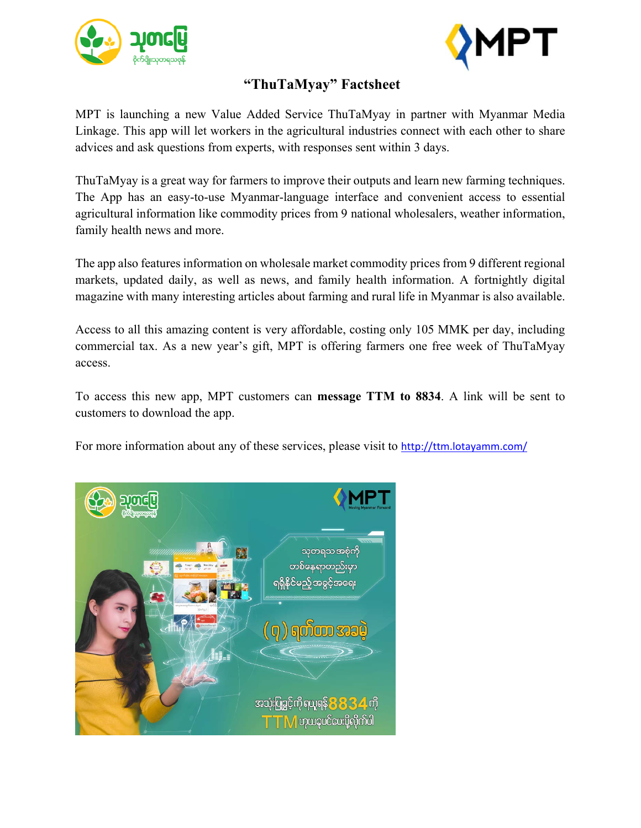



# **"ThuTaMyay" Factsheet**

MPT is launching a new Value Added Service ThuTaMyay in partner with Myanmar Media Linkage. This app will let workers in the agricultural industries connect with each other to share advices and ask questions from experts, with responses sent within 3 days.

ThuTaMyay is a great way for farmers to improve their outputs and learn new farming techniques. The App has an easy-to-use Myanmar-language interface and convenient access to essential agricultural information like commodity prices from 9 national wholesalers, weather information, family health news and more.

The app also features information on wholesale market commodity prices from 9 different regional markets, updated daily, as well as news, and family health information. A fortnightly digital magazine with many interesting articles about farming and rural life in Myanmar is also available.

Access to all this amazing content is very affordable, costing only 105 MMK per day, including commercial tax. As a new year's gift, MPT is offering farmers one free week of ThuTaMyay access.

To access this new app, MPT customers can **message TTM to 8834**. A link will be sent to customers to download the app.

For more information about any of these services, please visit to http://ttm.lotayamm.com/